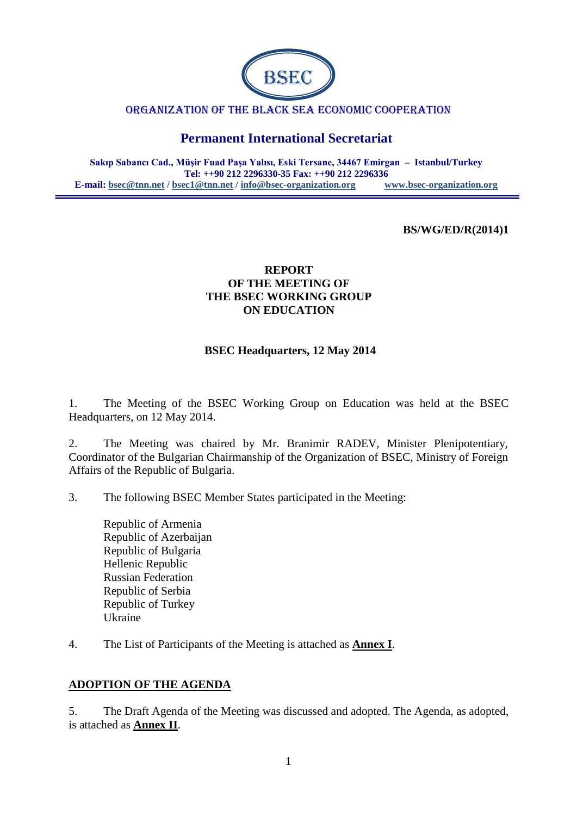

#### ORGANIZATION OF THE BLACK SEA ECONOMIC COOPERATION

# **Permanent International Secretariat**

**Sakıp Sabancı Cad., Müşir Fuad Paşa Yalısı, Eski Tersane, 34467 Emirgan – Istanbul/Turkey Tel: ++90 212 2296330-35 Fax: ++90 212 2296336 E-mail: [bsec@tnn.net](mailto:bsec@tnn.net) / bsec1@tnn.net / [info@bsec-organization.org](mailto:info@bsec-organization.org) [www.bsec-organization.org](http://www.bsec-organization.org/)**

#### **BS/WG/ED/R(2014)1**

### **REPORT OF THE MEETING OF THE BSEC WORKING GROUP ON EDUCATION**

#### **BSEC Headquarters, 12 May 2014**

1. The Meeting of the BSEC Working Group on Education was held at the BSEC Headquarters, on 12 May 2014.

2. The Meeting was chaired by Mr. Branimir RADEV, Minister Plenipotentiary, Coordinator of the Bulgarian Chairmanship of the Organization of BSEC, Ministry of Foreign Affairs of the Republic of Bulgaria.

3. The following BSEC Member States participated in the Meeting:

- Republic of Armenia Republic of Azerbaijan Republic of Bulgaria Hellenic Republic Russian Federation Republic of Serbia Republic of Turkey Ukraine
- 4. The List of Participants of the Meeting is attached as **Annex I**.

### **ADOPTION OF THE AGENDA**

5. The Draft Agenda of the Meeting was discussed and adopted. The Agenda, as adopted, is attached as **Annex II**.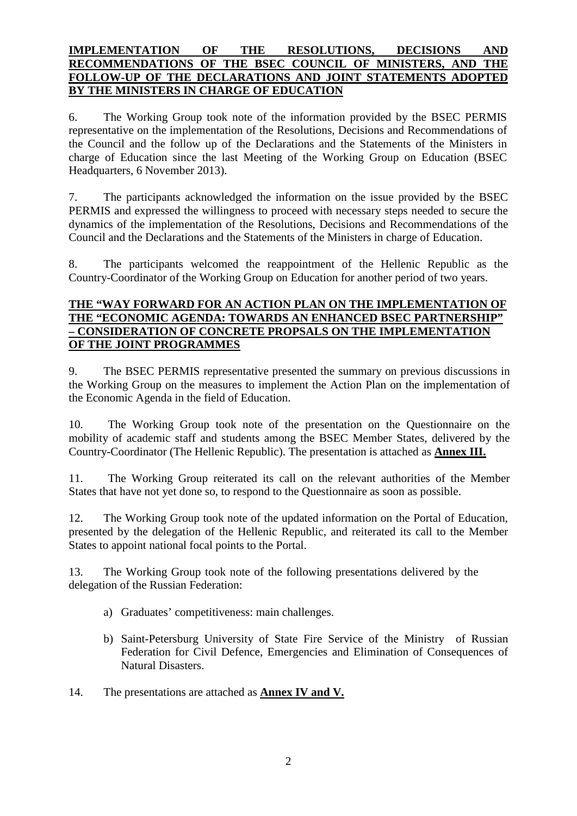### **IMPLEMENTATION OF THE RESOLUTIONS, DECISIONS AND RECOMMENDATIONS OF THE BSEC COUNCIL OF MINISTERS, AND THE FOLLOW-UP OF THE DECLARATIONS AND JOINT STATEMENTS ADOPTED BY THE MINISTERS IN CHARGE OF EDUCATION**

6. The Working Group took note of the information provided by the BSEC PERMIS representative on the implementation of the Resolutions, Decisions and Recommendations of the Council and the follow up of the Declarations and the Statements of the Ministers in charge of Education since the last Meeting of the Working Group on Education (BSEC Headquarters, 6 November 2013).

7. The participants acknowledged the information on the issue provided by the BSEC PERMIS and expressed the willingness to proceed with necessary steps needed to secure the dynamics of the implementation of the Resolutions, Decisions and Recommendations of the Council and the Declarations and the Statements of the Ministers in charge of Education.

8. The participants welcomed the reappointment of the Hellenic Republic as the Country-Coordinator of the Working Group on Education for another period of two years.

### **THE "WAY FORWARD FOR AN ACTION PLAN ON THE IMPLEMENTATION OF THE "ECONOMIC AGENDA: TOWARDS AN ENHANCED BSEC PARTNERSHIP" – CONSIDERATION OF CONCRETE PROPSALS ON THE IMPLEMENTATION OF THE JOINT PROGRAMMES**

9. The BSEC PERMIS representative presented the summary on previous discussions in the Working Group on the measures to implement the Action Plan on the implementation of the Economic Agenda in the field of Education.

10. The Working Group took note of the presentation on the Questionnaire on the mobility of academic staff and students among the BSEC Member States, delivered by the Country-Coordinator (The Hellenic Republic). The presentation is attached as **Annex III.**

11. The Working Group reiterated its call on the relevant authorities of the Member States that have not yet done so, to respond to the Questionnaire as soon as possible.

12. The Working Group took note of the updated information on the Portal of Education, presented by the delegation of the Hellenic Republic, and reiterated its call to the Member States to appoint national focal points to the Portal.

13. The Working Group took note of the following presentations delivered by the delegation of the Russian Federation:

- a) Graduates' competitiveness: main challenges.
- b) Saint-Petersburg University of State Fire Service of the Ministry of Russian Federation for Civil Defence, Emergencies and Elimination of Consequences of Natural Disasters.
- 14. The presentations are attached as **Annex IV and V.**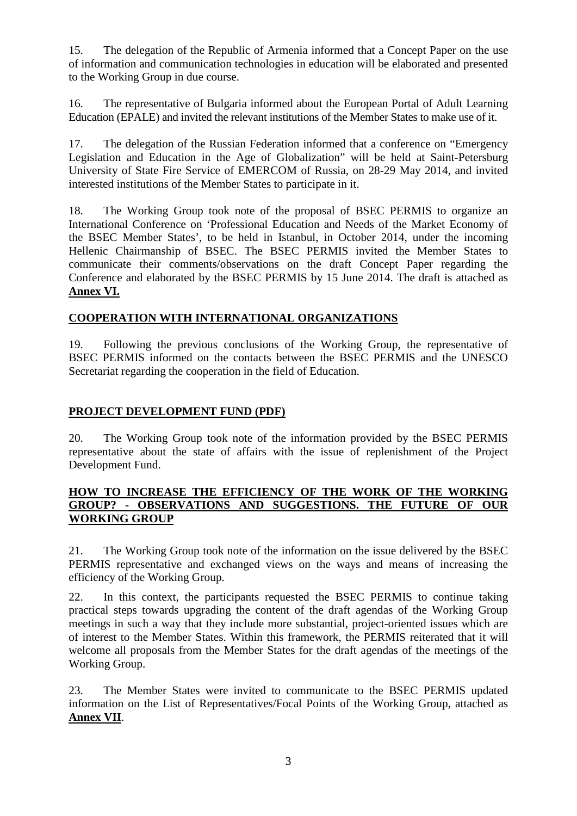15. The delegation of the Republic of Armenia informed that a Concept Paper on the use of information and communication technologies in education will be elaborated and presented to the Working Group in due course.

16. The representative of Bulgaria informed about the European Portal of Adult Learning Education (EPALE) and invited the relevant institutions of the Member States to make use of it.

17. The delegation of the Russian Federation informed that a conference on "Emergency Legislation and Education in the Age of Globalization" will be held at Saint-Petersburg University of State Fire Service of EMERCOM of Russia, on 28-29 May 2014, and invited interested institutions of the Member States to participate in it.

18. The Working Group took note of the proposal of BSEC PERMIS to organize an International Conference on 'Professional Education and Needs of the Market Economy of the BSEC Member States', to be held in Istanbul, in October 2014, under the incoming Hellenic Chairmanship of BSEC. The BSEC PERMIS invited the Member States to communicate their comments/observations on the draft Concept Paper regarding the Conference and elaborated by the BSEC PERMIS by 15 June 2014. The draft is attached as **Annex VI.**

### **COOPERATION WITH INTERNATIONAL ORGANIZATIONS**

19. Following the previous conclusions of the Working Group, the representative of BSEC PERMIS informed on the contacts between the BSEC PERMIS and the UNESCO Secretariat regarding the cooperation in the field of Education.

### **PROJECT DEVELOPMENT FUND (PDF)**

20. The Working Group took note of the information provided by the BSEC PERMIS representative about the state of affairs with the issue of replenishment of the Project Development Fund.

#### **HOW TO INCREASE THE EFFICIENCY OF THE WORK OF THE WORKING GROUP? - OBSERVATIONS AND SUGGESTIONS. THE FUTURE OF OUR WORKING GROUP**

21. The Working Group took note of the information on the issue delivered by the BSEC PERMIS representative and exchanged views on the ways and means of increasing the efficiency of the Working Group.

22. In this context, the participants requested the BSEC PERMIS to continue taking practical steps towards upgrading the content of the draft agendas of the Working Group meetings in such a way that they include more substantial, project-oriented issues which are of interest to the Member States. Within this framework, the PERMIS reiterated that it will welcome all proposals from the Member States for the draft agendas of the meetings of the Working Group.

23. The Member States were invited to communicate to the BSEC PERMIS updated information on the List of Representatives/Focal Points of the Working Group, attached as **Annex VII**.